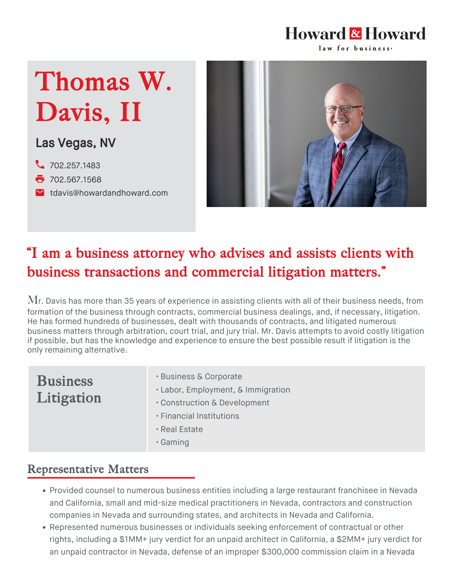#### **Howard & Howard** law for business-

# Thomas W. Davis, II

Las Vegas, NV

- 2. [702.257.1483](tel:702.257.1483)
- **7**02.567.1568
- **M** [tdavis@howardandhoward.com](mailto:tdavis@howardandhoward.com)



## "I am a business attorney who advises and assists clients with business transactions and commercial litigation matters."

 $\rm{Mr.}$  Davis has more than 35 years of experience in assisting clients with all of their business needs, from formation of the business through contracts, commercial business dealings, and, if necessary, litigation. He has formed hundreds of businesses, dealt with thousands of contracts, and litigated numerous business matters through arbitration, court trial, and jury trial. Mr. Davis attempts to avoid costly litigation if possible, but has the knowledge and experience to ensure the best possible result if litigation is the only remaining alternative.

### **Business** Litigation

- Business & Corporate
- Labor, Employment, & Immigration
- Construction & Development
- Financial Institutions
- Real Estate
- Gaming

#### Representative Matters

- Provided counsel to numerous business entities including a large restaurant franchisee in Nevada and California, small and mid-size medical practitioners in Nevada, contractors and construction companies in Nevada and surrounding states, and architects in Nevada and California.
- Represented numerous businesses or individuals seeking enforcement of contractual or other rights, including a \$1MM+ jury verdict for an unpaid architect in California, a \$2MM+ jury verdict for an unpaid contractor in Nevada, defense of an improper \$300,000 commission claim in a Nevada